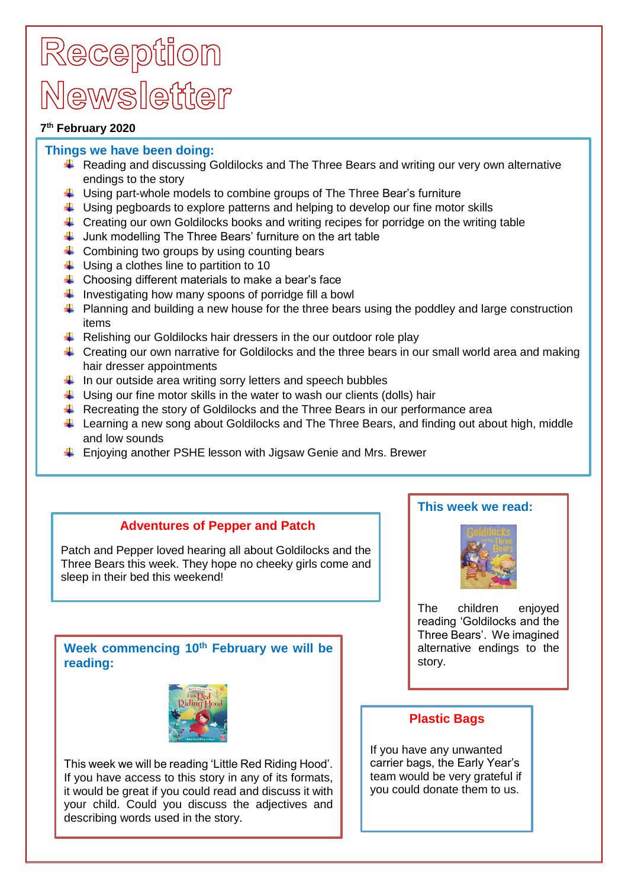## Reception Mewsletter

### **7 th February 2020**

### **Things we have been doing:**

- $\ddot{+}$  Reading and discussing Goldilocks and The Three Bears and writing our very own alternative endings to the story
- $\ddag$  Using part-whole models to combine groups of The Three Bear's furniture
- $\ddot{\phantom{1}}$  Using pegboards to explore patterns and helping to develop our fine motor skills
- $\pm$  Creating our own Goldilocks books and writing recipes for porridge on the writing table
- $\downarrow$  Junk modelling The Three Bears' furniture on the art table
- $\leftarrow$  Combining two groups by using counting bears
- $\downarrow$  Using a clothes line to partition to 10
- $\downarrow$  Choosing different materials to make a bear's face
- Investigating how many spoons of porridge fill a bowl
- $\ddot{\phantom{1}}$  Planning and building a new house for the three bears using the poddley and large construction items
- $\ddot{+}$  Relishing our Goldilocks hair dressers in the our outdoor role play
- $\downarrow$  Creating our own narrative for Goldilocks and the three bears in our small world area and making hair dresser appointments
- $\ddot$  In our outside area writing sorry letters and speech bubbles
- $\ddot{\phantom{1}}$  Using our fine motor skills in the water to wash our clients (dolls) hair
- $\ddot$  Recreating the story of Goldilocks and the Three Bears in our performance area
- Learning a new song about Goldilocks and The Three Bears, and finding out about high, middle and low sounds
- $\ddot{+}$  Enjoying another PSHE lesson with Jigsaw Genie and Mrs. Brewer

## **Adventures of Pepper and Patch**

Patch and Pepper loved hearing all about Goldilocks and the Three Bears this week. They hope no cheeky girls come and sleep in their bed this weekend!

## **Week commencing 10th February we will be reading:**



This week we will be reading 'Little Red Riding Hood'. If you have access to this story in any of its formats, it would be great if you could read and discuss it with your child. Could you discuss the adjectives and describing words used in the story.

## **This week we read:**



The children enjoyed reading 'Goldilocks and the Three Bears'. We imagined alternative endings to the story.

## **Plastic Bags**

If you have any unwanted carrier bags, the Early Year's team would be very grateful if you could donate them to us.